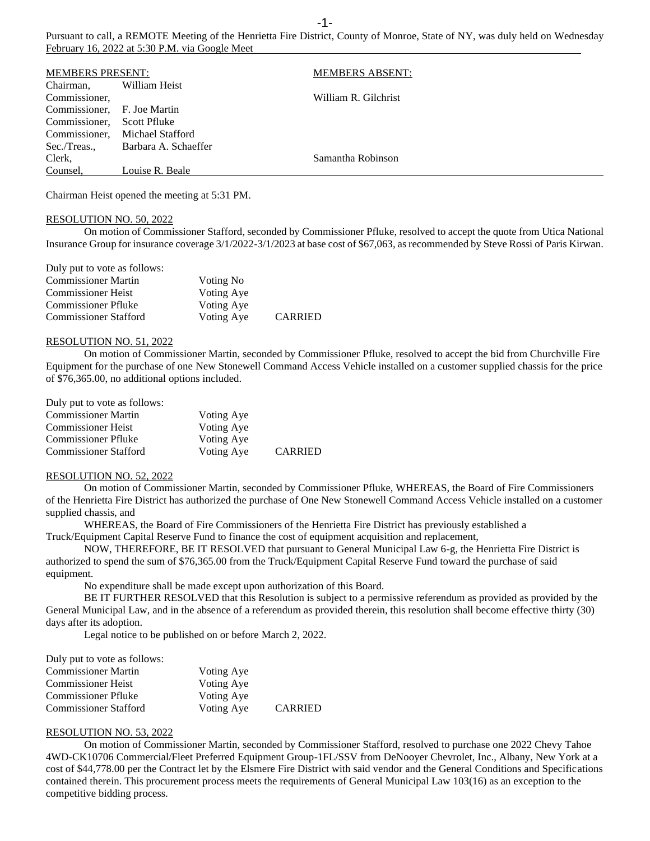Pursuant to call, a REMOTE Meeting of the Henrietta Fire District, County of Monroe, State of NY, was duly held on Wednesday February 16, 2022 at 5:30 P.M. via Google Meet

| <b>MEMBERS PRESENT:</b>     |                      | <b>MEMBERS ABSENT:</b> |
|-----------------------------|----------------------|------------------------|
| Chairman,                   | William Heist        |                        |
| Commissioner,               |                      | William R. Gilchrist   |
| Commissioner, F. Joe Martin |                      |                        |
| Commissioner.               | Scott Pfluke         |                        |
| Commissioner.               | Michael Stafford     |                        |
| Sec./Treas                  | Barbara A. Schaeffer |                        |
| Clerk,                      |                      | Samantha Robinson      |
| Counsel.                    | Louise R. Beale      |                        |

Chairman Heist opened the meeting at 5:31 PM.

## RESOLUTION NO. 50, 2022

On motion of Commissioner Stafford, seconded by Commissioner Pfluke, resolved to accept the quote from Utica National Insurance Group for insurance coverage 3/1/2022-3/1/2023 at base cost of \$67,063, as recommended by Steve Rossi of Paris Kirwan.

Duly put to vote as follows:

| <b>Commissioner Martin</b>   | Voting No  |                |
|------------------------------|------------|----------------|
| <b>Commissioner Heist</b>    | Voting Aye |                |
| <b>Commissioner Pfluke</b>   | Voting Aye |                |
| <b>Commissioner Stafford</b> | Voting Aye | <b>CARRIED</b> |

#### RESOLUTION NO. 51, 2022

On motion of Commissioner Martin, seconded by Commissioner Pfluke, resolved to accept the bid from Churchville Fire Equipment for the purchase of one New Stonewell Command Access Vehicle installed on a customer supplied chassis for the price of \$76,365.00, no additional options included.

| Duly put to vote as follows: |            |                |
|------------------------------|------------|----------------|
| <b>Commissioner Martin</b>   | Voting Aye |                |
| <b>Commissioner Heist</b>    | Voting Aye |                |
| <b>Commissioner Pfluke</b>   | Voting Aye |                |
| <b>Commissioner Stafford</b> | Voting Aye | <b>CARRIED</b> |

#### RESOLUTION NO. 52, 2022

On motion of Commissioner Martin, seconded by Commissioner Pfluke, WHEREAS, the Board of Fire Commissioners of the Henrietta Fire District has authorized the purchase of One New Stonewell Command Access Vehicle installed on a customer supplied chassis, and

WHEREAS, the Board of Fire Commissioners of the Henrietta Fire District has previously established a Truck/Equipment Capital Reserve Fund to finance the cost of equipment acquisition and replacement,

NOW, THEREFORE, BE IT RESOLVED that pursuant to General Municipal Law 6-g, the Henrietta Fire District is authorized to spend the sum of \$76,365.00 from the Truck/Equipment Capital Reserve Fund toward the purchase of said equipment.

No expenditure shall be made except upon authorization of this Board.

BE IT FURTHER RESOLVED that this Resolution is subject to a permissive referendum as provided as provided by the General Municipal Law, and in the absence of a referendum as provided therein, this resolution shall become effective thirty (30) days after its adoption.

Legal notice to be published on or before March 2, 2022.

| Duly put to vote as follows: |            |                |
|------------------------------|------------|----------------|
| <b>Commissioner Martin</b>   | Voting Aye |                |
| <b>Commissioner Heist</b>    | Voting Aye |                |
| <b>Commissioner Pfluke</b>   | Voting Aye |                |
| <b>Commissioner Stafford</b> | Voting Aye | <b>CARRIED</b> |

## RESOLUTION NO. 53, 2022

On motion of Commissioner Martin, seconded by Commissioner Stafford, resolved to purchase one 2022 Chevy Tahoe 4WD-CK10706 Commercial/Fleet Preferred Equipment Group-1FL/SSV from DeNooyer Chevrolet, Inc., Albany, New York at a cost of \$44,778.00 per the Contract let by the Elsmere Fire District with said vendor and the General Conditions and Specifications contained therein. This procurement process meets the requirements of General Municipal Law 103(16) as an exception to the competitive bidding process.